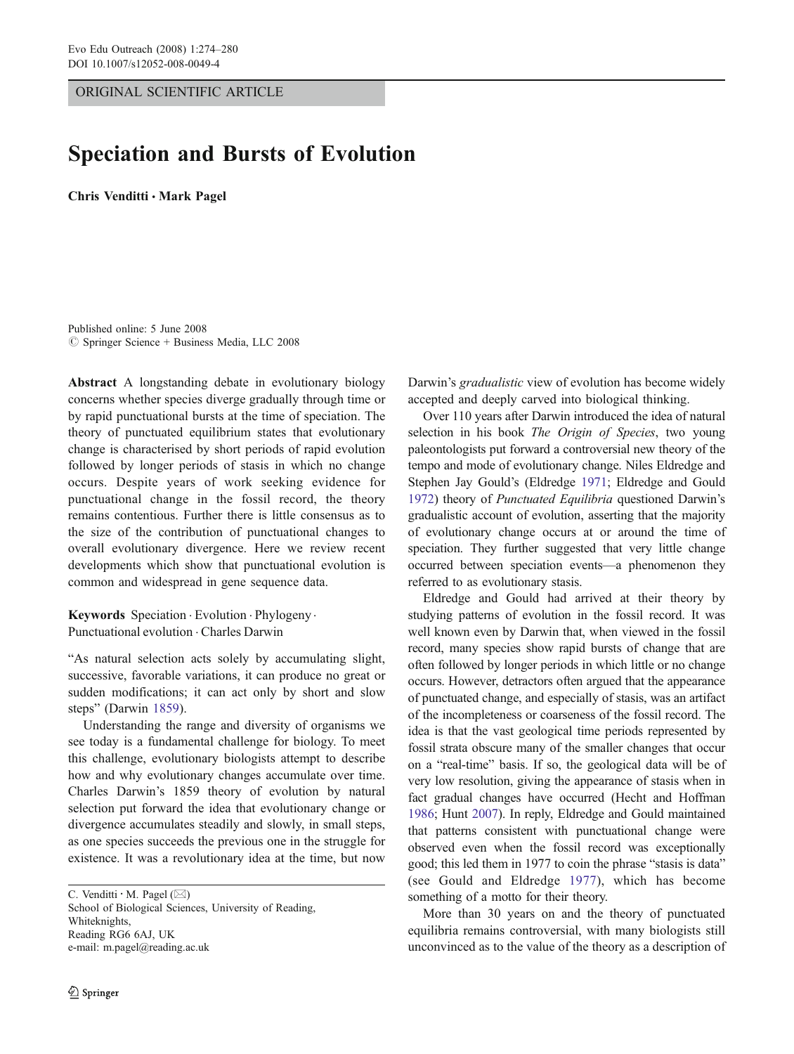ORIGINAL SCIENTIFIC ARTICLE

# Speciation and Bursts of Evolution

Chris Venditti *&* Mark Pagel

Published online: 5 June 2008  $\oslash$  Springer Science + Business Media, LLC 2008

Abstract A longstanding debate in evolutionary biology concerns whether species diverge gradually through time or by rapid punctuational bursts at the time of speciation. The theory of punctuated equilibrium states that evolutionary change is characterised by short periods of rapid evolution followed by longer periods of stasis in which no change occurs. Despite years of work seeking evidence for punctuational change in the fossil record, the theory remains contentious. Further there is little consensus as to the size of the contribution of punctuational changes to overall evolutionary divergence. Here we review recent developments which show that punctuational evolution is common and widespread in gene sequence data.

Keywords Speciation . Evolution . Phylogeny . Punctuational evolution . Charles Darwin

"As natural selection acts solely by accumulating slight, successive, favorable variations, it can produce no great or sudden modifications; it can act only by short and slow steps" (Darwin [1859\)](#page-6-0).

Understanding the range and diversity of organisms we see today is a fundamental challenge for biology. To meet this challenge, evolutionary biologists attempt to describe how and why evolutionary changes accumulate over time. Charles Darwin's 1859 theory of evolution by natural selection put forward the idea that evolutionary change or divergence accumulates steadily and slowly, in small steps, as one species succeeds the previous one in the struggle for existence. It was a revolutionary idea at the time, but now

C. Venditti *:* M. Pagel (*\**) School of Biological Sciences, University of Reading, Whiteknights, Reading RG6 6AJ, UK e-mail: m.pagel@reading.ac.uk

Darwin's *gradualistic* view of evolution has become widely accepted and deeply carved into biological thinking.

Over 110 years after Darwin introduced the idea of natural selection in his book *The Origin of Species*, two young paleontologists put forward a controversial new theory of the tempo and mode of evolutionary change. Niles Eldredge and Stephen Jay Gould's (Eldredge [1971;](#page-6-0) Eldredge and Gould [1972\)](#page-6-0) theory of Punctuated Equilibria questioned Darwin's gradualistic account of evolution, asserting that the majority of evolutionary change occurs at or around the time of speciation. They further suggested that very little change occurred between speciation events—a phenomenon they referred to as evolutionary stasis.

Eldredge and Gould had arrived at their theory by studying patterns of evolution in the fossil record. It was well known even by Darwin that, when viewed in the fossil record, many species show rapid bursts of change that are often followed by longer periods in which little or no change occurs. However, detractors often argued that the appearance of punctuated change, and especially of stasis, was an artifact of the incompleteness or coarseness of the fossil record. The idea is that the vast geological time periods represented by fossil strata obscure many of the smaller changes that occur on a "real-time" basis. If so, the geological data will be of very low resolution, giving the appearance of stasis when in fact gradual changes have occurred (Hecht and Hoffman [1986;](#page-6-0) Hunt [2007\)](#page-6-0). In reply, Eldredge and Gould maintained that patterns consistent with punctuational change were observed even when the fossil record was exceptionally good; this led them in 1977 to coin the phrase "stasis is data" (see Gould and Eldredge [1977\)](#page-6-0), which has become something of a motto for their theory.

More than 30 years on and the theory of punctuated equilibria remains controversial, with many biologists still unconvinced as to the value of the theory as a description of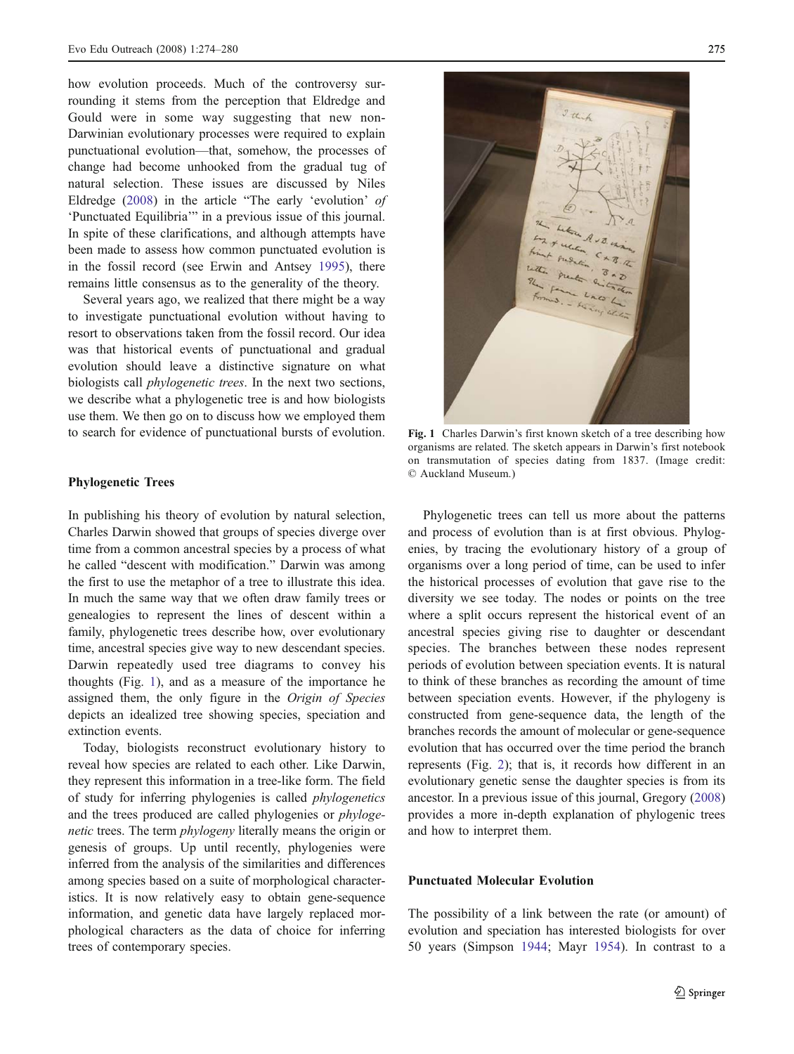how evolution proceeds. Much of the controversy surrounding it stems from the perception that Eldredge and Gould were in some way suggesting that new non-Darwinian evolutionary processes were required to explain punctuational evolution—that, somehow, the processes of change had become unhooked from the gradual tug of natural selection. These issues are discussed by Niles Eldredge [\(2008](#page-6-0)) in the article "The early 'evolution' of 'Punctuated Equilibria'" in a previous issue of this journal. In spite of these clarifications, and although attempts have been made to assess how common punctuated evolution is in the fossil record (see Erwin and Antsey [1995\)](#page-6-0), there remains little consensus as to the generality of the theory.

Several years ago, we realized that there might be a way to investigate punctuational evolution without having to resort to observations taken from the fossil record. Our idea was that historical events of punctuational and gradual evolution should leave a distinctive signature on what biologists call phylogenetic trees. In the next two sections, we describe what a phylogenetic tree is and how biologists use them. We then go on to discuss how we employed them to search for evidence of punctuational bursts of evolution.

## Phylogenetic Trees

In publishing his theory of evolution by natural selection, Charles Darwin showed that groups of species diverge over time from a common ancestral species by a process of what he called "descent with modification." Darwin was among the first to use the metaphor of a tree to illustrate this idea. In much the same way that we often draw family trees or genealogies to represent the lines of descent within a family, phylogenetic trees describe how, over evolutionary time, ancestral species give way to new descendant species. Darwin repeatedly used tree diagrams to convey his thoughts (Fig. 1), and as a measure of the importance he assigned them, the only figure in the Origin of Species depicts an idealized tree showing species, speciation and extinction events.

Today, biologists reconstruct evolutionary history to reveal how species are related to each other. Like Darwin, they represent this information in a tree-like form. The field of study for inferring phylogenies is called phylogenetics and the trees produced are called phylogenies or *phyloge*netic trees. The term *phylogeny* literally means the origin or genesis of groups. Up until recently, phylogenies were inferred from the analysis of the similarities and differences among species based on a suite of morphological characteristics. It is now relatively easy to obtain gene-sequence information, and genetic data have largely replaced morphological characters as the data of choice for inferring trees of contemporary species.



Fig. 1 Charles Darwin's first known sketch of a tree describing how organisms are related. The sketch appears in Darwin's first notebook on transmutation of species dating from 1837. (Image credit: © Auckland Museum.)

Phylogenetic trees can tell us more about the patterns and process of evolution than is at first obvious. Phylogenies, by tracing the evolutionary history of a group of organisms over a long period of time, can be used to infer the historical processes of evolution that gave rise to the diversity we see today. The nodes or points on the tree where a split occurs represent the historical event of an ancestral species giving rise to daughter or descendant species. The branches between these nodes represent periods of evolution between speciation events. It is natural to think of these branches as recording the amount of time between speciation events. However, if the phylogeny is constructed from gene-sequence data, the length of the branches records the amount of molecular or gene-sequence evolution that has occurred over the time period the branch represents (Fig. [2](#page-2-0)); that is, it records how different in an evolutionary genetic sense the daughter species is from its ancestor. In a previous issue of this journal, Gregory [\(2008](#page-6-0)) provides a more in-depth explanation of phylogenic trees and how to interpret them.

#### Punctuated Molecular Evolution

The possibility of a link between the rate (or amount) of evolution and speciation has interested biologists for over 50 years (Simpson [1944;](#page-6-0) Mayr [1954\)](#page-6-0). In contrast to a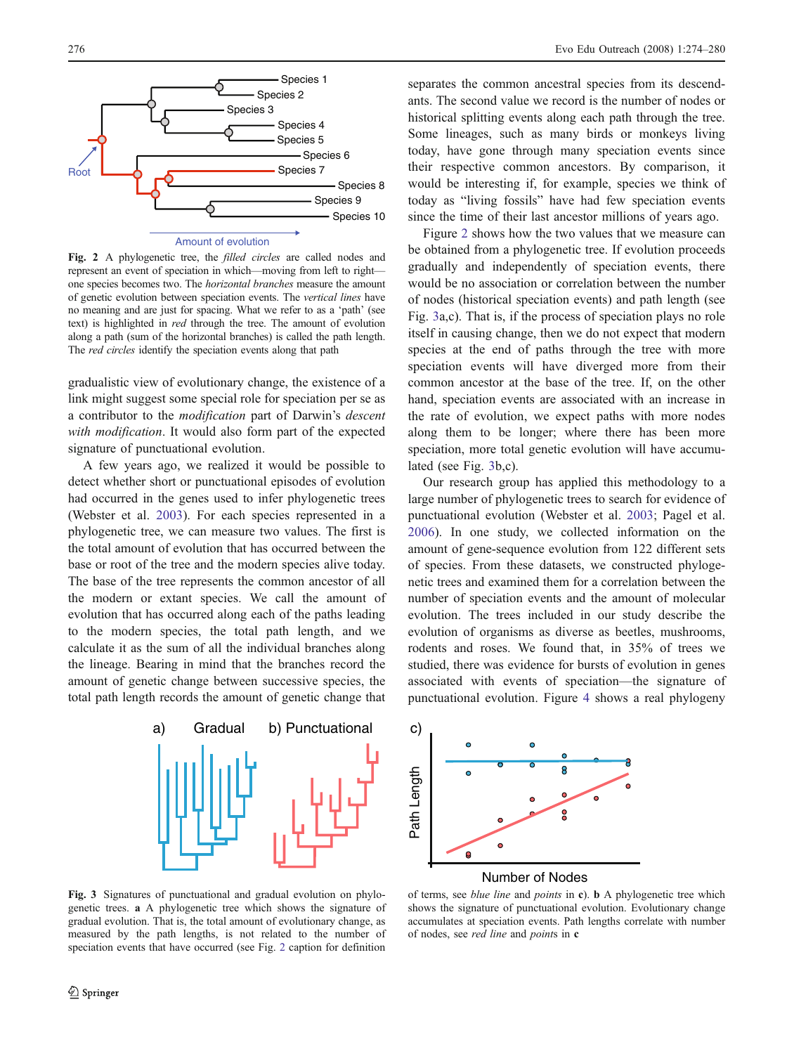<span id="page-2-0"></span>

Fig. 2 A phylogenetic tree, the filled circles are called nodes and represent an event of speciation in which—moving from left to right one species becomes two. The horizontal branches measure the amount of genetic evolution between speciation events. The vertical lines have no meaning and are just for spacing. What we refer to as a 'path' (see text) is highlighted in red through the tree. The amount of evolution along a path (sum of the horizontal branches) is called the path length. The *red circles* identify the speciation events along that path

gradualistic view of evolutionary change, the existence of a link might suggest some special role for speciation per se as a contributor to the modification part of Darwin's descent with modification. It would also form part of the expected signature of punctuational evolution.

A few years ago, we realized it would be possible to detect whether short or punctuational episodes of evolution had occurred in the genes used to infer phylogenetic trees (Webster et al. [2003](#page-6-0)). For each species represented in a phylogenetic tree, we can measure two values. The first is the total amount of evolution that has occurred between the base or root of the tree and the modern species alive today. The base of the tree represents the common ancestor of all the modern or extant species. We call the amount of evolution that has occurred along each of the paths leading to the modern species, the total path length, and we calculate it as the sum of all the individual branches along the lineage. Bearing in mind that the branches record the amount of genetic change between successive species, the total path length records the amount of genetic change that



Fig. 3 Signatures of punctuational and gradual evolution on phylogenetic trees. a A phylogenetic tree which shows the signature of gradual evolution. That is, the total amount of evolutionary change, as measured by the path lengths, is not related to the number of speciation events that have occurred (see Fig. 2 caption for definition

separates the common ancestral species from its descendants. The second value we record is the number of nodes or historical splitting events along each path through the tree. Some lineages, such as many birds or monkeys living today, have gone through many speciation events since their respective common ancestors. By comparison, it would be interesting if, for example, species we think of today as "living fossils" have had few speciation events since the time of their last ancestor millions of years ago.

Figure 2 shows how the two values that we measure can be obtained from a phylogenetic tree. If evolution proceeds gradually and independently of speciation events, there would be no association or correlation between the number of nodes (historical speciation events) and path length (see Fig. 3a,c). That is, if the process of speciation plays no role itself in causing change, then we do not expect that modern species at the end of paths through the tree with more speciation events will have diverged more from their common ancestor at the base of the tree. If, on the other hand, speciation events are associated with an increase in the rate of evolution, we expect paths with more nodes along them to be longer; where there has been more speciation, more total genetic evolution will have accumulated (see Fig. 3b,c).

Our research group has applied this methodology to a large number of phylogenetic trees to search for evidence of punctuational evolution (Webster et al. [2003](#page-6-0); Pagel et al. [2006](#page-6-0)). In one study, we collected information on the amount of gene-sequence evolution from 122 different sets of species. From these datasets, we constructed phylogenetic trees and examined them for a correlation between the number of speciation events and the amount of molecular evolution. The trees included in our study describe the evolution of organisms as diverse as beetles, mushrooms, rodents and roses. We found that, in 35% of trees we studied, there was evidence for bursts of evolution in genes associated with events of speciation—the signature of punctuational evolution. Figure [4](#page-3-0) shows a real phylogeny



of terms, see blue line and points in c). b A phylogenetic tree which shows the signature of punctuational evolution. Evolutionary change accumulates at speciation events. Path lengths correlate with number of nodes, see red line and points in c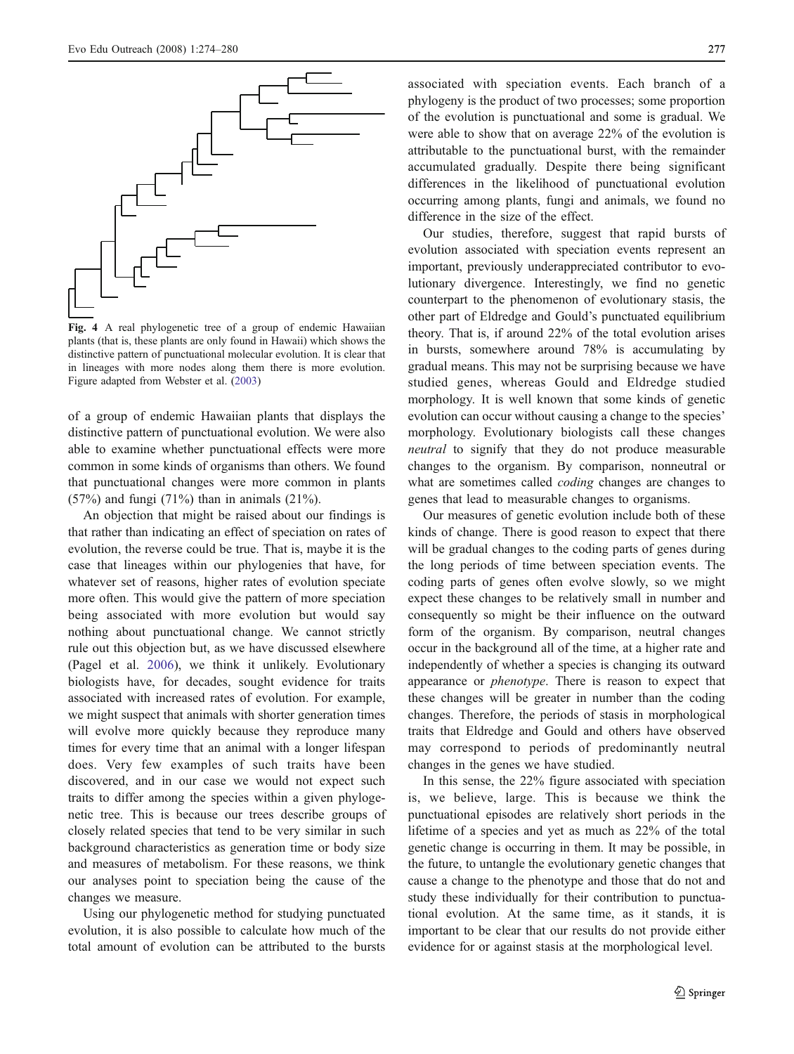<span id="page-3-0"></span>

Fig. 4 A real phylogenetic tree of a group of endemic Hawaiian plants (that is, these plants are only found in Hawaii) which shows the distinctive pattern of punctuational molecular evolution. It is clear that in lineages with more nodes along them there is more evolution. Figure adapted from Webster et al. [\(2003](#page-6-0))

of a group of endemic Hawaiian plants that displays the distinctive pattern of punctuational evolution. We were also able to examine whether punctuational effects were more common in some kinds of organisms than others. We found that punctuational changes were more common in plants (57%) and fungi (71%) than in animals (21%).

An objection that might be raised about our findings is that rather than indicating an effect of speciation on rates of evolution, the reverse could be true. That is, maybe it is the case that lineages within our phylogenies that have, for whatever set of reasons, higher rates of evolution speciate more often. This would give the pattern of more speciation being associated with more evolution but would say nothing about punctuational change. We cannot strictly rule out this objection but, as we have discussed elsewhere (Pagel et al. [2006\)](#page-6-0), we think it unlikely. Evolutionary biologists have, for decades, sought evidence for traits associated with increased rates of evolution. For example, we might suspect that animals with shorter generation times will evolve more quickly because they reproduce many times for every time that an animal with a longer lifespan does. Very few examples of such traits have been discovered, and in our case we would not expect such traits to differ among the species within a given phylogenetic tree. This is because our trees describe groups of closely related species that tend to be very similar in such background characteristics as generation time or body size and measures of metabolism. For these reasons, we think our analyses point to speciation being the cause of the changes we measure.

Using our phylogenetic method for studying punctuated evolution, it is also possible to calculate how much of the total amount of evolution can be attributed to the bursts

associated with speciation events. Each branch of a phylogeny is the product of two processes; some proportion of the evolution is punctuational and some is gradual. We were able to show that on average 22% of the evolution is attributable to the punctuational burst, with the remainder accumulated gradually. Despite there being significant differences in the likelihood of punctuational evolution occurring among plants, fungi and animals, we found no difference in the size of the effect.

Our studies, therefore, suggest that rapid bursts of evolution associated with speciation events represent an important, previously underappreciated contributor to evolutionary divergence. Interestingly, we find no genetic counterpart to the phenomenon of evolutionary stasis, the other part of Eldredge and Gould's punctuated equilibrium theory. That is, if around 22% of the total evolution arises in bursts, somewhere around 78% is accumulating by gradual means. This may not be surprising because we have studied genes, whereas Gould and Eldredge studied morphology. It is well known that some kinds of genetic evolution can occur without causing a change to the species' morphology. Evolutionary biologists call these changes neutral to signify that they do not produce measurable changes to the organism. By comparison, nonneutral or what are sometimes called coding changes are changes to genes that lead to measurable changes to organisms.

Our measures of genetic evolution include both of these kinds of change. There is good reason to expect that there will be gradual changes to the coding parts of genes during the long periods of time between speciation events. The coding parts of genes often evolve slowly, so we might expect these changes to be relatively small in number and consequently so might be their influence on the outward form of the organism. By comparison, neutral changes occur in the background all of the time, at a higher rate and independently of whether a species is changing its outward appearance or phenotype. There is reason to expect that these changes will be greater in number than the coding changes. Therefore, the periods of stasis in morphological traits that Eldredge and Gould and others have observed may correspond to periods of predominantly neutral changes in the genes we have studied.

In this sense, the 22% figure associated with speciation is, we believe, large. This is because we think the punctuational episodes are relatively short periods in the lifetime of a species and yet as much as 22% of the total genetic change is occurring in them. It may be possible, in the future, to untangle the evolutionary genetic changes that cause a change to the phenotype and those that do not and study these individually for their contribution to punctuational evolution. At the same time, as it stands, it is important to be clear that our results do not provide either evidence for or against stasis at the morphological level.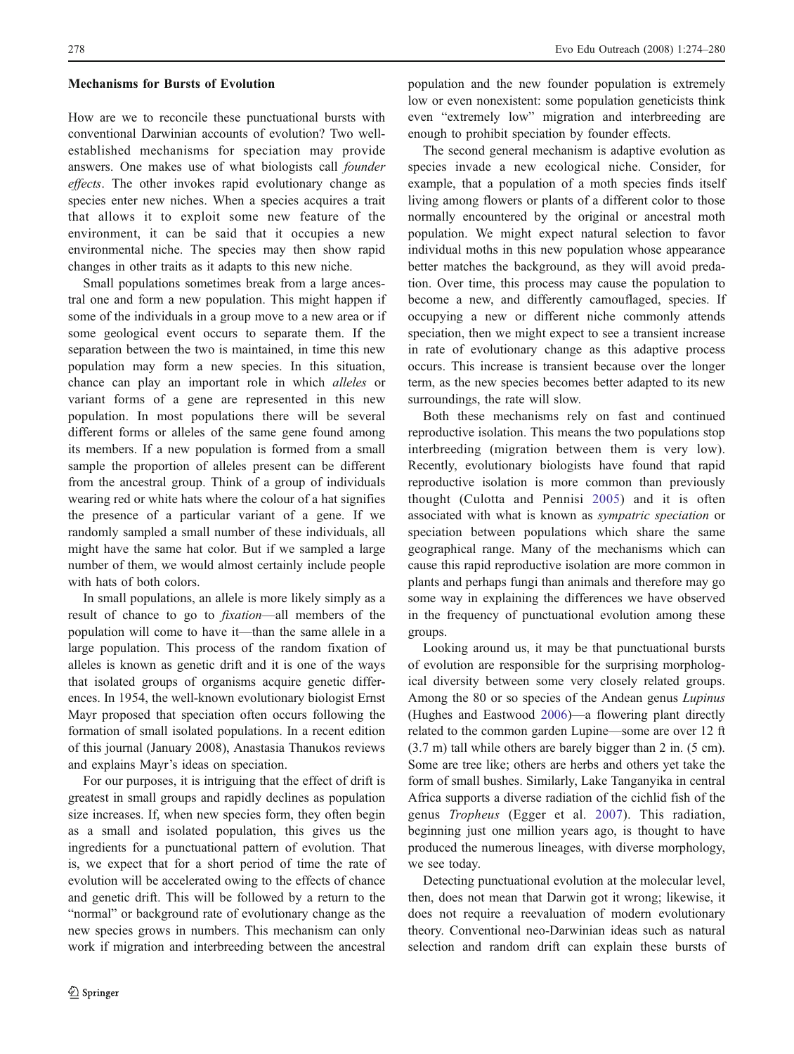#### Mechanisms for Bursts of Evolution

How are we to reconcile these punctuational bursts with conventional Darwinian accounts of evolution? Two wellestablished mechanisms for speciation may provide answers. One makes use of what biologists call founder effects. The other invokes rapid evolutionary change as species enter new niches. When a species acquires a trait that allows it to exploit some new feature of the environment, it can be said that it occupies a new environmental niche. The species may then show rapid changes in other traits as it adapts to this new niche.

Small populations sometimes break from a large ancestral one and form a new population. This might happen if some of the individuals in a group move to a new area or if some geological event occurs to separate them. If the separation between the two is maintained, in time this new population may form a new species. In this situation, chance can play an important role in which alleles or variant forms of a gene are represented in this new population. In most populations there will be several different forms or alleles of the same gene found among its members. If a new population is formed from a small sample the proportion of alleles present can be different from the ancestral group. Think of a group of individuals wearing red or white hats where the colour of a hat signifies the presence of a particular variant of a gene. If we randomly sampled a small number of these individuals, all might have the same hat color. But if we sampled a large number of them, we would almost certainly include people with hats of both colors.

In small populations, an allele is more likely simply as a result of chance to go to fixation—all members of the population will come to have it—than the same allele in a large population. This process of the random fixation of alleles is known as genetic drift and it is one of the ways that isolated groups of organisms acquire genetic differences. In 1954, the well-known evolutionary biologist Ernst Mayr proposed that speciation often occurs following the formation of small isolated populations. In a recent edition of this journal (January 2008), Anastasia Thanukos reviews and explains Mayr's ideas on speciation.

For our purposes, it is intriguing that the effect of drift is greatest in small groups and rapidly declines as population size increases. If, when new species form, they often begin as a small and isolated population, this gives us the ingredients for a punctuational pattern of evolution. That is, we expect that for a short period of time the rate of evolution will be accelerated owing to the effects of chance and genetic drift. This will be followed by a return to the "normal" or background rate of evolutionary change as the new species grows in numbers. This mechanism can only work if migration and interbreeding between the ancestral

population and the new founder population is extremely low or even nonexistent: some population geneticists think even "extremely low" migration and interbreeding are enough to prohibit speciation by founder effects.

The second general mechanism is adaptive evolution as species invade a new ecological niche. Consider, for example, that a population of a moth species finds itself living among flowers or plants of a different color to those normally encountered by the original or ancestral moth population. We might expect natural selection to favor individual moths in this new population whose appearance better matches the background, as they will avoid predation. Over time, this process may cause the population to become a new, and differently camouflaged, species. If occupying a new or different niche commonly attends speciation, then we might expect to see a transient increase in rate of evolutionary change as this adaptive process occurs. This increase is transient because over the longer term, as the new species becomes better adapted to its new surroundings, the rate will slow.

Both these mechanisms rely on fast and continued reproductive isolation. This means the two populations stop interbreeding (migration between them is very low). Recently, evolutionary biologists have found that rapid reproductive isolation is more common than previously thought (Culotta and Pennisi [2005](#page-6-0)) and it is often associated with what is known as sympatric speciation or speciation between populations which share the same geographical range. Many of the mechanisms which can cause this rapid reproductive isolation are more common in plants and perhaps fungi than animals and therefore may go some way in explaining the differences we have observed in the frequency of punctuational evolution among these groups.

Looking around us, it may be that punctuational bursts of evolution are responsible for the surprising morphological diversity between some very closely related groups. Among the 80 or so species of the Andean genus Lupinus (Hughes and Eastwood [2006\)](#page-6-0)—a flowering plant directly related to the common garden Lupine—some are over 12 ft (3.7 m) tall while others are barely bigger than 2 in. (5 cm). Some are tree like; others are herbs and others yet take the form of small bushes. Similarly, Lake Tanganyika in central Africa supports a diverse radiation of the cichlid fish of the genus Tropheus (Egger et al. [2007](#page-6-0)). This radiation, beginning just one million years ago, is thought to have produced the numerous lineages, with diverse morphology, we see today.

Detecting punctuational evolution at the molecular level, then, does not mean that Darwin got it wrong; likewise, it does not require a reevaluation of modern evolutionary theory. Conventional neo-Darwinian ideas such as natural selection and random drift can explain these bursts of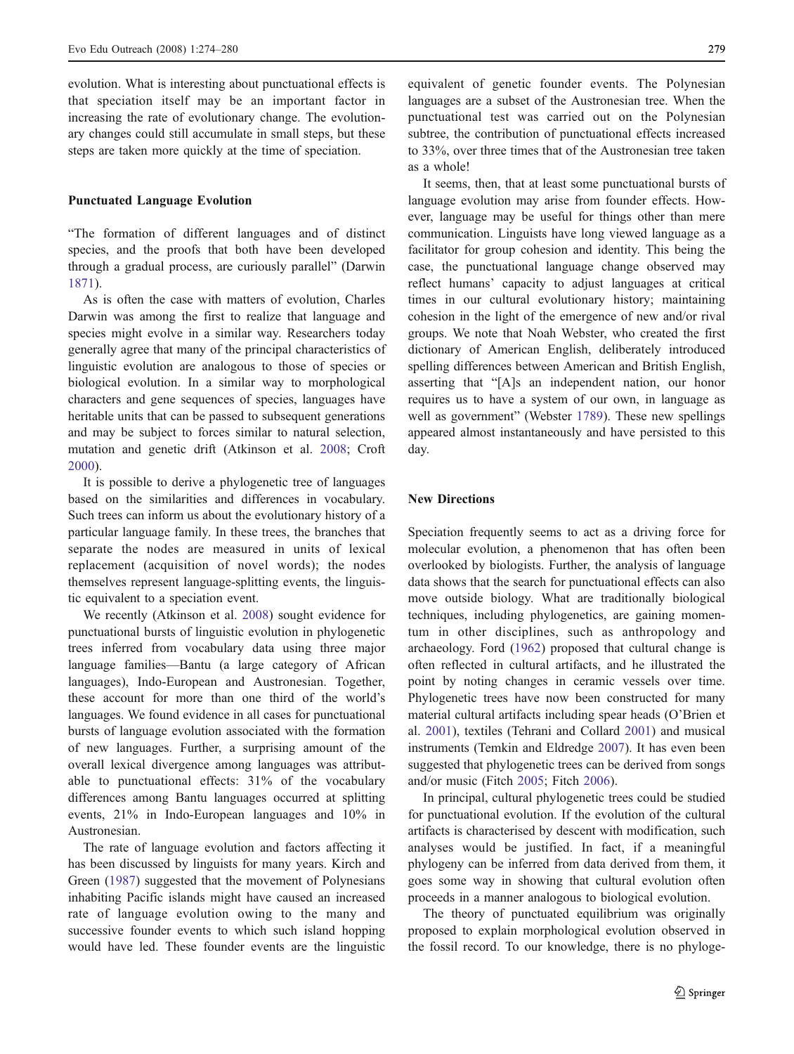evolution. What is interesting about punctuational effects is that speciation itself may be an important factor in increasing the rate of evolutionary change. The evolutionary changes could still accumulate in small steps, but these steps are taken more quickly at the time of speciation.

### Punctuated Language Evolution

"The formation of different languages and of distinct species, and the proofs that both have been developed through a gradual process, are curiously parallel" (Darwin [1871](#page-6-0)).

As is often the case with matters of evolution, Charles Darwin was among the first to realize that language and species might evolve in a similar way. Researchers today generally agree that many of the principal characteristics of linguistic evolution are analogous to those of species or biological evolution. In a similar way to morphological characters and gene sequences of species, languages have heritable units that can be passed to subsequent generations and may be subject to forces similar to natural selection, mutation and genetic drift (Atkinson et al. [2008](#page-6-0); Croft [2000](#page-6-0)).

It is possible to derive a phylogenetic tree of languages based on the similarities and differences in vocabulary. Such trees can inform us about the evolutionary history of a particular language family. In these trees, the branches that separate the nodes are measured in units of lexical replacement (acquisition of novel words); the nodes themselves represent language-splitting events, the linguistic equivalent to a speciation event.

We recently (Atkinson et al. [2008\)](#page-6-0) sought evidence for punctuational bursts of linguistic evolution in phylogenetic trees inferred from vocabulary data using three major language families—Bantu (a large category of African languages), Indo-European and Austronesian. Together, these account for more than one third of the world's languages. We found evidence in all cases for punctuational bursts of language evolution associated with the formation of new languages. Further, a surprising amount of the overall lexical divergence among languages was attributable to punctuational effects: 31% of the vocabulary differences among Bantu languages occurred at splitting events, 21% in Indo-European languages and 10% in Austronesian.

The rate of language evolution and factors affecting it has been discussed by linguists for many years. Kirch and Green ([1987\)](#page-6-0) suggested that the movement of Polynesians inhabiting Pacific islands might have caused an increased rate of language evolution owing to the many and successive founder events to which such island hopping would have led. These founder events are the linguistic equivalent of genetic founder events. The Polynesian languages are a subset of the Austronesian tree. When the punctuational test was carried out on the Polynesian subtree, the contribution of punctuational effects increased to 33%, over three times that of the Austronesian tree taken as a whole!

It seems, then, that at least some punctuational bursts of language evolution may arise from founder effects. However, language may be useful for things other than mere communication. Linguists have long viewed language as a facilitator for group cohesion and identity. This being the case, the punctuational language change observed may reflect humans' capacity to adjust languages at critical times in our cultural evolutionary history; maintaining cohesion in the light of the emergence of new and/or rival groups. We note that Noah Webster, who created the first dictionary of American English, deliberately introduced spelling differences between American and British English, asserting that "[A]s an independent nation, our honor requires us to have a system of our own, in language as well as government" (Webster [1789\)](#page-6-0). These new spellings appeared almost instantaneously and have persisted to this day.

# New Directions

Speciation frequently seems to act as a driving force for molecular evolution, a phenomenon that has often been overlooked by biologists. Further, the analysis of language data shows that the search for punctuational effects can also move outside biology. What are traditionally biological techniques, including phylogenetics, are gaining momentum in other disciplines, such as anthropology and archaeology. Ford [\(1962](#page-6-0)) proposed that cultural change is often reflected in cultural artifacts, and he illustrated the point by noting changes in ceramic vessels over time. Phylogenetic trees have now been constructed for many material cultural artifacts including spear heads (O'Brien et al. [2001](#page-6-0)), textiles (Tehrani and Collard [2001\)](#page-6-0) and musical instruments (Temkin and Eldredge [2007\)](#page-6-0). It has even been suggested that phylogenetic trees can be derived from songs and/or music (Fitch [2005](#page-6-0); Fitch [2006\)](#page-6-0).

In principal, cultural phylogenetic trees could be studied for punctuational evolution. If the evolution of the cultural artifacts is characterised by descent with modification, such analyses would be justified. In fact, if a meaningful phylogeny can be inferred from data derived from them, it goes some way in showing that cultural evolution often proceeds in a manner analogous to biological evolution.

The theory of punctuated equilibrium was originally proposed to explain morphological evolution observed in the fossil record. To our knowledge, there is no phyloge